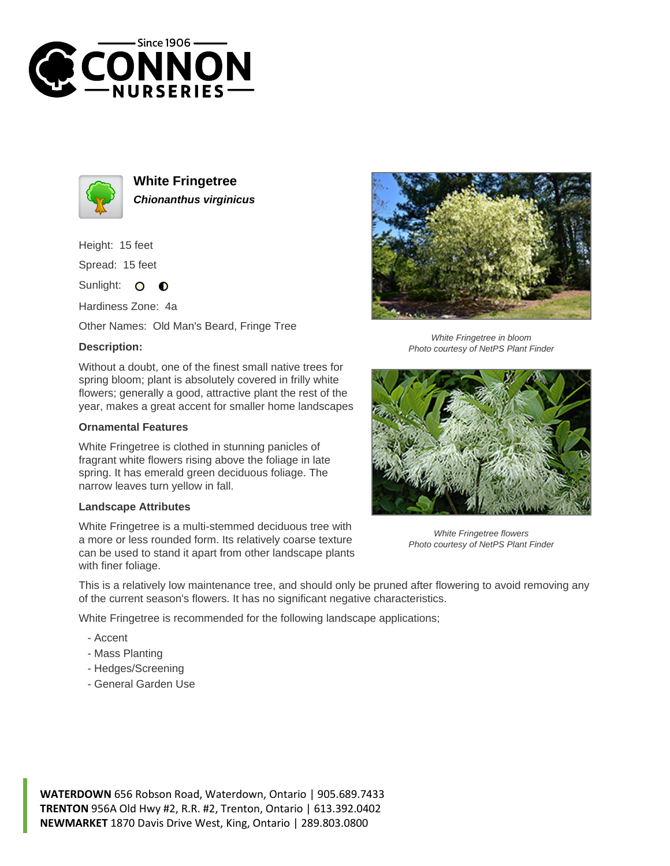



**White Fringetree Chionanthus virginicus**

Height: 15 feet

Spread: 15 feet

Sunlight: O  $\bullet$ 

Hardiness Zone: 4a

Other Names: Old Man's Beard, Fringe Tree

## **Description:**

Without a doubt, one of the finest small native trees for spring bloom; plant is absolutely covered in frilly white flowers; generally a good, attractive plant the rest of the year, makes a great accent for smaller home landscapes

## **Ornamental Features**

White Fringetree is clothed in stunning panicles of fragrant white flowers rising above the foliage in late spring. It has emerald green deciduous foliage. The narrow leaves turn yellow in fall.

## **Landscape Attributes**

White Fringetree is a multi-stemmed deciduous tree with a more or less rounded form. Its relatively coarse texture can be used to stand it apart from other landscape plants with finer foliage.



White Fringetree in bloom Photo courtesy of NetPS Plant Finder



White Fringetree flowers Photo courtesy of NetPS Plant Finder

This is a relatively low maintenance tree, and should only be pruned after flowering to avoid removing any of the current season's flowers. It has no significant negative characteristics.

White Fringetree is recommended for the following landscape applications;

- Accent
- Mass Planting
- Hedges/Screening
- General Garden Use